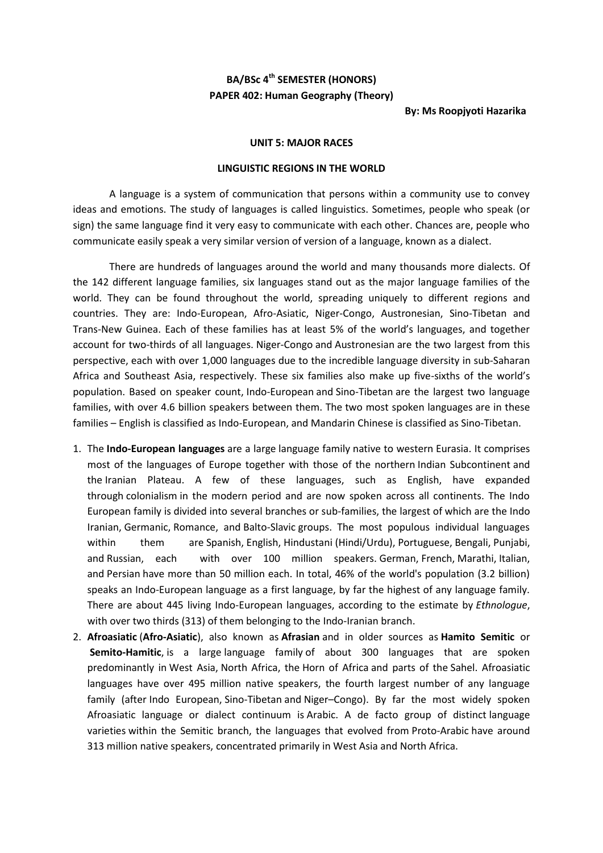## **BA/BSc 4th SEMESTER (HONORS) PAPER 402: Human Geography (Theory)**

## **By: Ms Roopjyoti Hazarika**

## **UNIT 5: MAJOR RACES**

## **LINGUISTIC REGIONS IN THE WORLD**

A language is a system of communication that persons within a community use to convey ideas and emotions. The study of languages is called linguistics. Sometimes, people who speak (or sign) the same language find it very easy to communicate with each other. Chances are, people who communicate easily speak a very similar version of version of a language, known as a dialect.

There are hundreds of languages around the world and many thousands more dialects. Of the 142 different language families, six languages stand out as the major language families of the world. They can be found throughout the world, spreading uniquely to different regions and countries. They are: Indo-European, Afro-Asiatic, Niger-Congo, Austronesian, Sino-Tibetan and Trans-New Guinea. Each of these families has at least 5% of the world's languages, and together account for two-thirds of all languages. [Niger-Congo](https://www.ethnologue.com/subgroups/niger-congo) and [Austronesian](https://www.ethnologue.com/subgroups/austronesian) are the two largest from this perspective, each with over 1,000 languages due to the incredible language diversity in sub-Saharan Africa and Southeast Asia, respectively. These six families also make up five-sixths of the world's population. Based on speaker count, [Indo-European](https://www.ethnologue.com/subgroups/indo-european) and [Sino-Tibetan](https://www.ethnologue.com/subgroups/sino-tibetan) are the largest two language families, with over 4.6 billion speakers between them. The [two most spoken languages](https://www.ethnologue.com/guides/most-spoken-languages) are in these families – [English](https://www.ethnologue.com/language/eng) is classified as Indo-European, and [Mandarin Chinese](https://www.ethnologue.com/language/cmn) is classified as Sino-Tibetan.

- 1. The **Indo-European languages** are a large [language family](https://en.wikipedia.org/wiki/Language_family) native to western [Eurasia.](https://en.wikipedia.org/wiki/Eurasia) It comprises most of the languages of Europe together with those of the northern [Indian Subcontinent](https://en.wikipedia.org/wiki/Indian_Subcontinent) and the [Iranian Plateau.](https://en.wikipedia.org/wiki/Iranian_Plateau) A few of these languages, such as English, have expanded through [colonialism](https://en.wikipedia.org/wiki/Colonialism) in the modern period and are now spoken across all continents. The Indo European family is divided into several branches or sub-families, the largest of which are the [Indo](https://en.wikipedia.org/wiki/Indo-Iranian_languages)  [Iranian,](https://en.wikipedia.org/wiki/Indo-Iranian_languages) [Germanic,](https://en.wikipedia.org/wiki/Germanic_language) [Romance,](https://en.wikipedia.org/wiki/Romance_languages) and [Balto-Slavic](https://en.wikipedia.org/wiki/Balto-Slavic_languages) groups. The most populous individual languages within them are [Spanish,](https://en.wikipedia.org/wiki/Spanish_language) [English,](https://en.wikipedia.org/wiki/English_language) [Hindustani](https://en.wikipedia.org/wiki/Hindustani_language) [\(Hindi/](https://en.wikipedia.org/wiki/Hindi)[Urdu\)](https://en.wikipedia.org/wiki/Urdu), [Portuguese,](https://en.wikipedia.org/wiki/Portuguese_language) [Bengali,](https://en.wikipedia.org/wiki/Bengali_language) [Punjabi,](https://en.wikipedia.org/wiki/Punjabi_language) and [Russian,](https://en.wikipedia.org/wiki/Russian_language) each with over 100 million speakers. [German,](https://en.wikipedia.org/wiki/German_language) [French,](https://en.wikipedia.org/wiki/French_language) [Marathi,](https://en.wikipedia.org/wiki/Marathi_language) [Italian,](https://en.wikipedia.org/wiki/Italian_language) and [Persian](https://en.wikipedia.org/wiki/Persian_language) have more than 50 million each. In total, 46% of the world's population (3.2 billion) speaks an Indo-European language as a first language, by far the highest of any language family. There are about 445 living Indo-European languages, according to the estimate by *[Ethnologue](https://en.wikipedia.org/wiki/Ethnologue)*, with over two thirds (313) of them belonging to the [Indo-Iranian branch.](https://en.wikipedia.org/wiki/Indo-Iranian_languages)
- 2. **Afroasiatic** (**Afro-Asiatic**), also known as **Afrasian** and in older sources as **Hamito Semitic** or **Semito-Hamitic**, is a large [language family](https://en.wikipedia.org/wiki/Language_family) of about 300 languages that are spoken predominantly in [West Asia,](https://en.wikipedia.org/wiki/Western_Asia) [North Africa,](https://en.wikipedia.org/wiki/North_Africa) the [Horn of Africa](https://en.wikipedia.org/wiki/Horn_of_Africa) and parts of the [Sahel.](https://en.wikipedia.org/wiki/Sahel) Afroasiatic languages have over 495 million native speakers, the fourth largest number of any language family (after [Indo European,](https://en.wikipedia.org/wiki/Indo-European_languages) [Sino-Tibetan](https://en.wikipedia.org/wiki/Sino-Tibetan_languages) and Niger–[Congo\)](https://en.wikipedia.org/wiki/Niger%E2%80%93Congo_languages). By far the most widely spoken Afroasiatic language or dialect continuum is [Arabic.](https://en.wikipedia.org/wiki/Arabic) A de facto group of distinct [language](https://en.wikipedia.org/wiki/Varieties_of_Arabic)  [varieties](https://en.wikipedia.org/wiki/Varieties_of_Arabic) within the Semitic branch, the languages that evolved from [Proto-Arabic](https://en.wikipedia.org/wiki/Proto-Arabic) have around 313 million native speakers, concentrated primarily in West Asia and North Africa.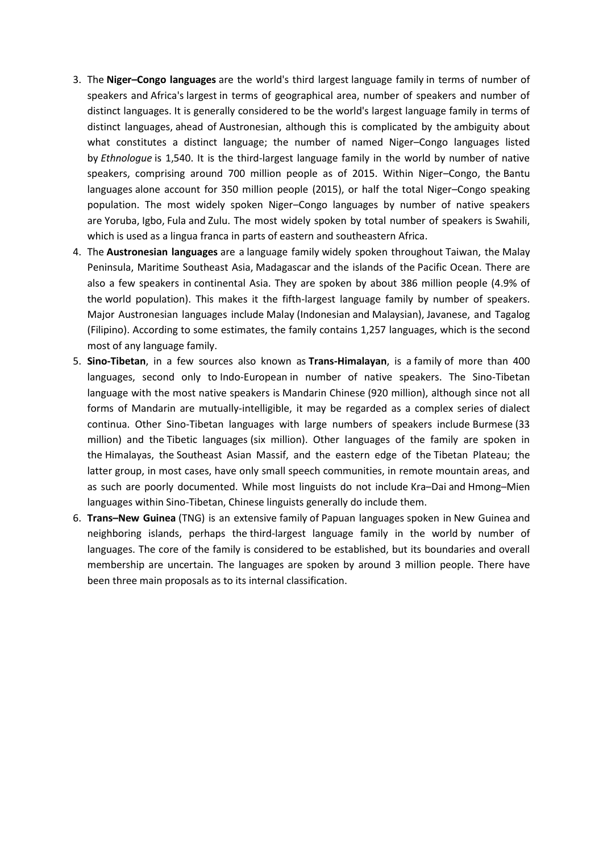- 3. The **Niger–Congo languages** are the world's third largest [language family](https://en.wikipedia.org/wiki/Language_family) in terms of number of speakers and [Africa's](https://en.wikipedia.org/wiki/Africa) [largest](https://en.wikipedia.org/wiki/Languages_of_Africa) in terms of geographical area, number of speakers and number of distinct languages. It is generally considered to be the world's largest language family in terms of distinct languages, ahead of [Austronesian,](https://en.wikipedia.org/wiki/Austronesian_languages) although this is complicated by the [ambiguity about](https://en.wikipedia.org/wiki/Dialect#Dialect_or_language)  [what constitutes a distinct language;](https://en.wikipedia.org/wiki/Dialect#Dialect_or_language) the number of named Niger–Congo languages listed by *[Ethnologue](https://en.wikipedia.org/wiki/Ethnologue)* is 1,540. It is the third-largest language family in the world by number of native speakers, comprising around 700 million people as of 2015. Within Niger–Congo, the [Bantu](https://en.wikipedia.org/wiki/Bantu_languages)  [languages](https://en.wikipedia.org/wiki/Bantu_languages) alone account for 350 million people (2015), or half the total Niger–Congo speaking population. The most widely spoken Niger–Congo languages by number of native speakers are [Yoruba,](https://en.wikipedia.org/wiki/Yoruba_language) [Igbo,](https://en.wikipedia.org/wiki/Igbo_language) [Fula](https://en.wikipedia.org/wiki/Fula_language) and [Zulu.](https://en.wikipedia.org/wiki/Zulu_language) The most widely spoken by total number of speakers is [Swahili,](https://en.wikipedia.org/wiki/Swahili_language) which is used as a lingua franca in parts of eastern and southeastern Africa.
- 4. The **Austronesian languages** are a [language family](https://en.wikipedia.org/wiki/Language_family) widely spoken throughout [Taiwan,](https://en.wikipedia.org/wiki/Taiwan) the [Malay](https://en.wikipedia.org/wiki/Malay_Peninsula)  [Peninsula,](https://en.wikipedia.org/wiki/Malay_Peninsula) [Maritime Southeast Asia,](https://en.wikipedia.org/wiki/Maritime_Southeast_Asia) [Madagascar](https://en.wikipedia.org/wiki/Madagascar) and the islands of the [Pacific Ocean.](https://en.wikipedia.org/wiki/Pacific_Ocean) There are also a few speakers in [continental Asia.](https://en.wikipedia.org/wiki/Asia) They are spoken by about 386 million people (4.9% of the [world population\)](https://en.wikipedia.org/wiki/World_population). This makes it the fifth-largest language family by number of speakers. Major Austronesian languages include [Malay](https://en.wikipedia.org/wiki/Malay_language) [\(Indonesian](https://en.wikipedia.org/wiki/Indonesian_language) and [Malaysian\)](https://en.wikipedia.org/wiki/Malaysian_language), [Javanese,](https://en.wikipedia.org/wiki/Javanese_language) and Tagalog [\(Filipino\)](https://en.wikipedia.org/wiki/Filipino_language). According to some estimates, the family contains 1,257 languages, which is the second most of any language family.
- 5. **Sino-Tibetan**, in a few sources also known as **Trans-Himalayan**, is a [family](https://en.wikipedia.org/wiki/Language_family) of more than 400 languages, second only to [Indo-European](https://en.wikipedia.org/wiki/Indo-European_languages) in number of native speakers. The Sino-Tibetan language with the most native speakers is [Mandarin Chinese](https://en.wikipedia.org/wiki/Mandarin_Chinese) (920 million), although since not all forms of Mandarin are mutually-intelligible, it may be regarded as a complex series of [dialect](https://en.wikipedia.org/wiki/Dialect_continuum)  [continua.](https://en.wikipedia.org/wiki/Dialect_continuum) Other Sino-Tibetan languages with large numbers of speakers include [Burmese](https://en.wikipedia.org/wiki/Burmese_language) (33 million) and the [Tibetic languages](https://en.wikipedia.org/wiki/Tibetic_languages) (six million). Other languages of the family are spoken in the [Himalayas,](https://en.wikipedia.org/wiki/Himalayas) the [Southeast Asian Massif,](https://en.wikipedia.org/wiki/Southeast_Asian_Massif) and the eastern edge of the [Tibetan Plateau;](https://en.wikipedia.org/wiki/Tibetan_Plateau) the latter group, in most cases, have only small speech communities, in remote mountain areas, and as such are poorly documented. While most linguists do not include [Kra](https://en.wikipedia.org/wiki/Kra%E2%80%93Dai_languages)–Dai and [Hmong](https://en.wikipedia.org/wiki/Hmong%E2%80%93Mien_languages)–Mien [languages](https://en.wikipedia.org/wiki/Hmong%E2%80%93Mien_languages) within Sino-Tibetan, Chinese linguists generally do include them.
- 6. **Trans–New Guinea** (TNG) is an extensive [family](https://en.wikipedia.org/wiki/Language_family) of [Papuan languages](https://en.wikipedia.org/wiki/Papuan_languages) spoken in New Guinea and neighboring islands, perhaps the [third-largest language family in the world](https://en.wikipedia.org/wiki/List_of_language_families#By_number_of_languages) by number of languages. The core of the family is considered to be established, but its boundaries and overall membership are uncertain. The languages are spoken by around 3 million people. There have been three main proposals as to its internal classification.